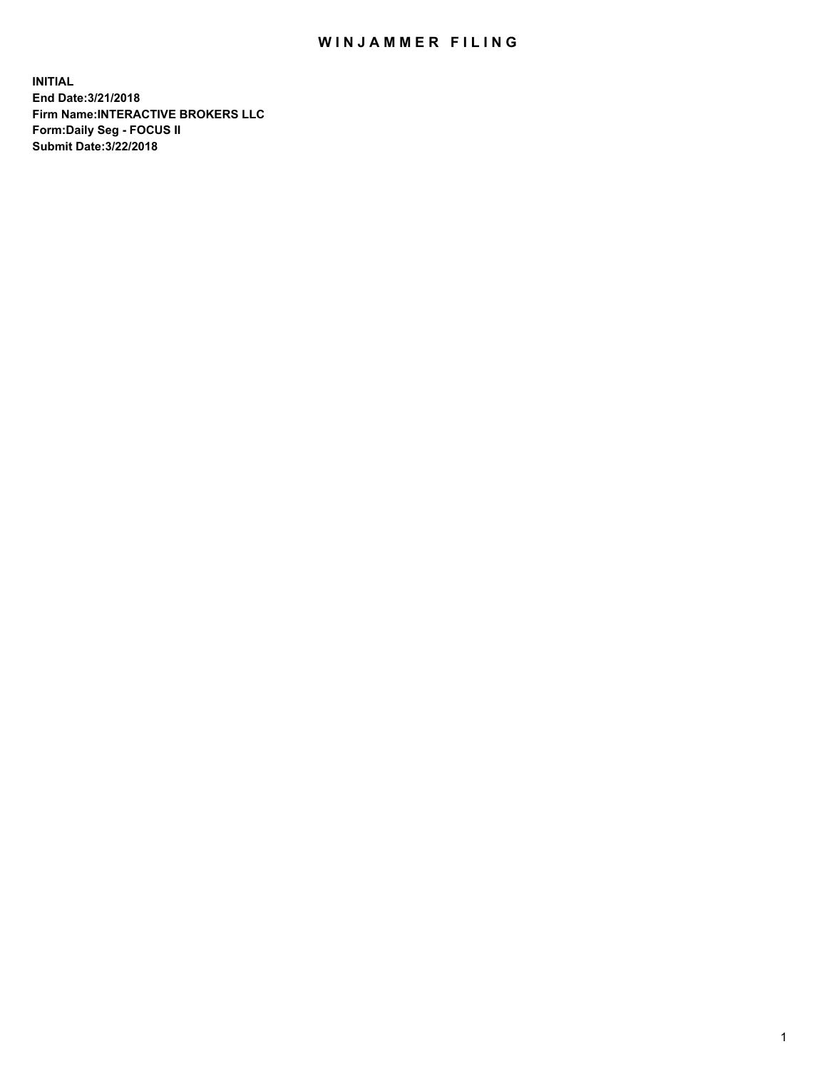## WIN JAMMER FILING

**INITIAL End Date:3/21/2018 Firm Name:INTERACTIVE BROKERS LLC Form:Daily Seg - FOCUS II Submit Date:3/22/2018**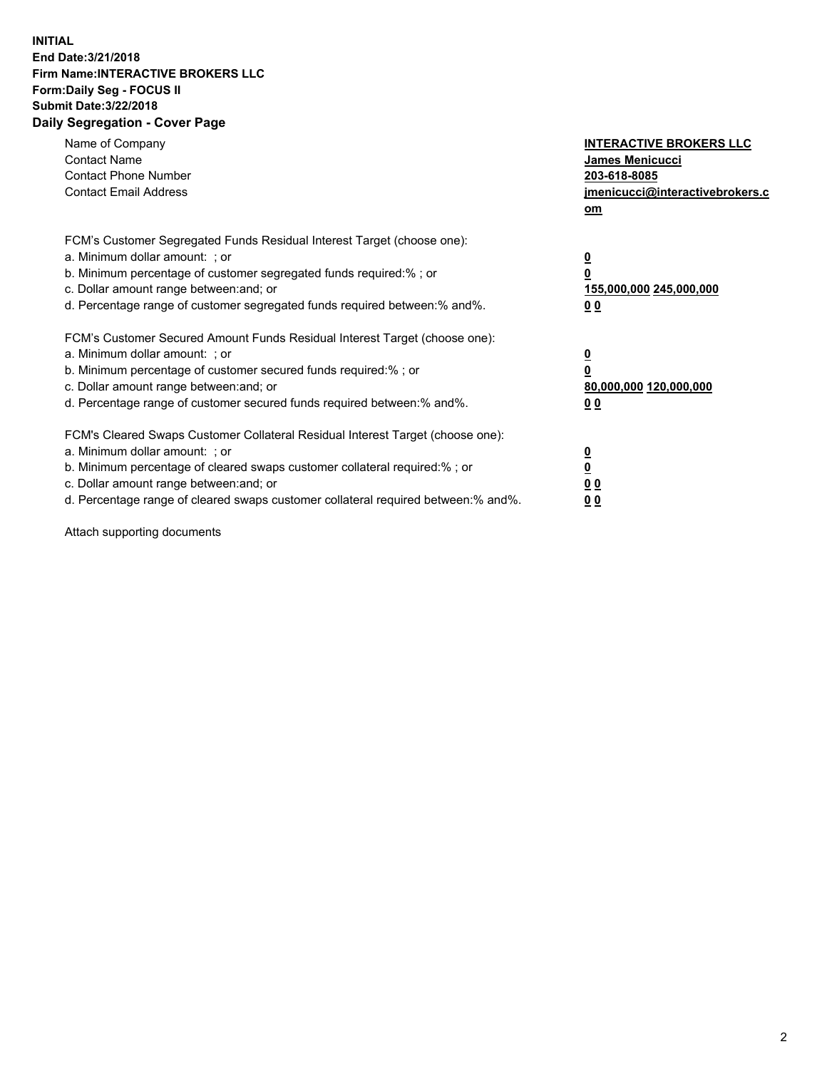## **INITIAL End Date:3/21/2018 Firm Name:INTERACTIVE BROKERS LLC Form:Daily Seg - FOCUS II Submit Date:3/22/2018 Daily Segregation - Cover Page**

| Name of Company<br><b>Contact Name</b><br><b>Contact Phone Number</b><br><b>Contact Email Address</b>                                                                                                                                                                                                                          | <b>INTERACTIVE BROKERS LLC</b><br>James Menicucci<br>203-618-8085<br>jmenicucci@interactivebrokers.c<br>om |
|--------------------------------------------------------------------------------------------------------------------------------------------------------------------------------------------------------------------------------------------------------------------------------------------------------------------------------|------------------------------------------------------------------------------------------------------------|
| FCM's Customer Segregated Funds Residual Interest Target (choose one):<br>a. Minimum dollar amount: ; or<br>b. Minimum percentage of customer segregated funds required:%; or<br>c. Dollar amount range between: and; or<br>d. Percentage range of customer segregated funds required between:% and%.                          | $\overline{\mathbf{0}}$<br>0<br>155,000,000 245,000,000<br>0 <sub>0</sub>                                  |
| FCM's Customer Secured Amount Funds Residual Interest Target (choose one):<br>a. Minimum dollar amount: ; or<br>b. Minimum percentage of customer secured funds required:%; or<br>c. Dollar amount range between: and; or<br>d. Percentage range of customer secured funds required between:% and%.                            | $\overline{\mathbf{0}}$<br>$\overline{\mathbf{0}}$<br>80,000,000 120,000,000<br>00                         |
| FCM's Cleared Swaps Customer Collateral Residual Interest Target (choose one):<br>a. Minimum dollar amount: ; or<br>b. Minimum percentage of cleared swaps customer collateral required:% ; or<br>c. Dollar amount range between: and; or<br>d. Percentage range of cleared swaps customer collateral required between:% and%. | $\overline{\mathbf{0}}$<br>$\overline{\mathbf{0}}$<br>0 <sub>0</sub><br><u>00</u>                          |

Attach supporting documents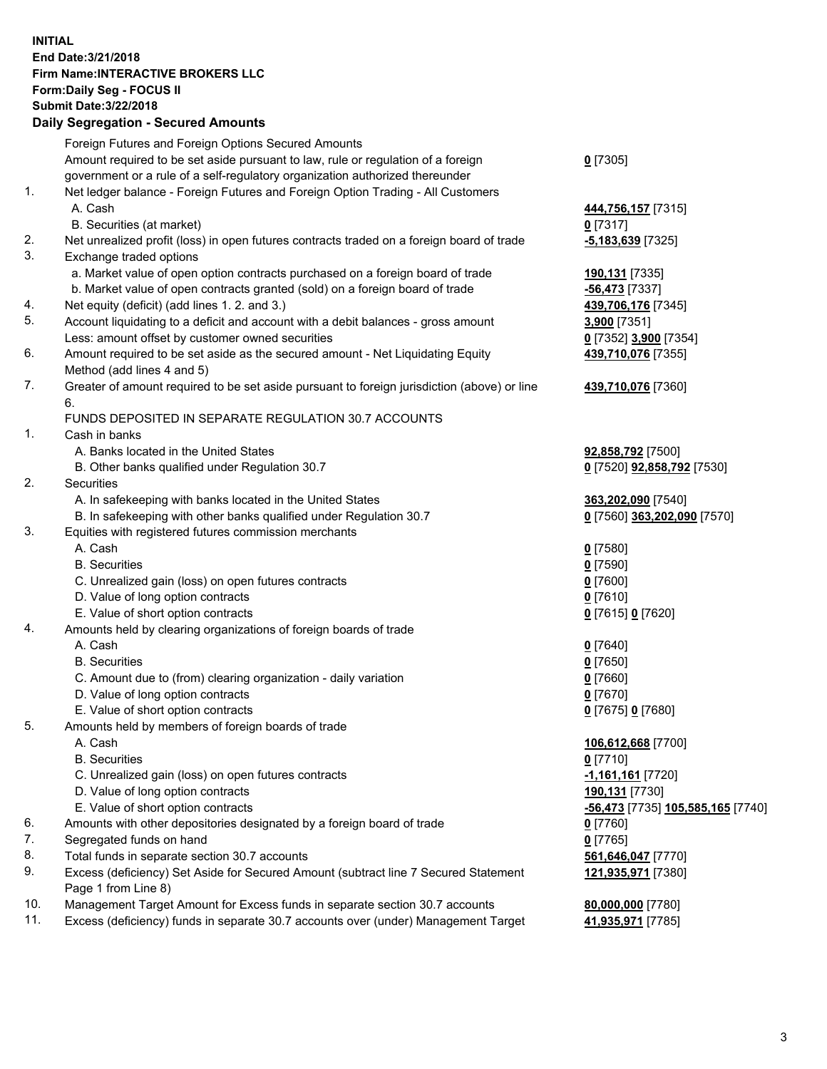## **INITIAL End Date:3/21/2018 Firm Name:INTERACTIVE BROKERS LLC Form:Daily Seg - FOCUS II Submit Date:3/22/2018 Daily Segregation - Secured Amounts**

|     | Daily Segregation - Secured Amounts                                                         |                                   |
|-----|---------------------------------------------------------------------------------------------|-----------------------------------|
|     | Foreign Futures and Foreign Options Secured Amounts                                         |                                   |
|     | Amount required to be set aside pursuant to law, rule or regulation of a foreign            | $0$ [7305]                        |
|     | government or a rule of a self-regulatory organization authorized thereunder                |                                   |
| 1.  | Net ledger balance - Foreign Futures and Foreign Option Trading - All Customers             |                                   |
|     | A. Cash                                                                                     | 444,756,157 [7315]                |
|     | B. Securities (at market)                                                                   | $0$ [7317]                        |
| 2.  | Net unrealized profit (loss) in open futures contracts traded on a foreign board of trade   | -5,183,639 [7325]                 |
| 3.  | Exchange traded options                                                                     |                                   |
|     | a. Market value of open option contracts purchased on a foreign board of trade              | 190,131 [7335]                    |
|     | b. Market value of open contracts granted (sold) on a foreign board of trade                | -56,473 [7337]                    |
| 4.  | Net equity (deficit) (add lines 1. 2. and 3.)                                               | 439,706,176 [7345]                |
| 5.  | Account liquidating to a deficit and account with a debit balances - gross amount           | 3,900 [7351]                      |
|     | Less: amount offset by customer owned securities                                            | 0 [7352] 3,900 [7354]             |
| 6.  | Amount required to be set aside as the secured amount - Net Liquidating Equity              | 439,710,076 [7355]                |
|     | Method (add lines 4 and 5)                                                                  |                                   |
| 7.  | Greater of amount required to be set aside pursuant to foreign jurisdiction (above) or line | 439,710,076 [7360]                |
|     | 6.                                                                                          |                                   |
|     | FUNDS DEPOSITED IN SEPARATE REGULATION 30.7 ACCOUNTS                                        |                                   |
| 1.  | Cash in banks                                                                               |                                   |
|     | A. Banks located in the United States                                                       | 92,858,792 [7500]                 |
|     | B. Other banks qualified under Regulation 30.7                                              | 0 [7520] 92,858,792 [7530]        |
| 2.  | Securities                                                                                  |                                   |
|     | A. In safekeeping with banks located in the United States                                   | 363,202,090 [7540]                |
|     | B. In safekeeping with other banks qualified under Regulation 30.7                          | 0 [7560] 363,202,090 [7570]       |
| 3.  | Equities with registered futures commission merchants                                       |                                   |
|     | A. Cash                                                                                     | $0$ [7580]                        |
|     | <b>B.</b> Securities                                                                        | $0$ [7590]                        |
|     | C. Unrealized gain (loss) on open futures contracts                                         | $0$ [7600]                        |
|     | D. Value of long option contracts                                                           | $0$ [7610]                        |
|     | E. Value of short option contracts                                                          | 0 [7615] 0 [7620]                 |
| 4.  | Amounts held by clearing organizations of foreign boards of trade                           |                                   |
|     | A. Cash                                                                                     | $0$ [7640]                        |
|     | <b>B.</b> Securities                                                                        | $0$ [7650]                        |
|     | C. Amount due to (from) clearing organization - daily variation                             | $0$ [7660]                        |
|     | D. Value of long option contracts                                                           | $0$ [7670]                        |
|     | E. Value of short option contracts                                                          | 0 [7675] 0 [7680]                 |
| 5.  | Amounts held by members of foreign boards of trade                                          |                                   |
|     | A. Cash                                                                                     | 106,612,668 [7700]                |
|     | <b>B.</b> Securities                                                                        | $0$ [7710]                        |
|     | C. Unrealized gain (loss) on open futures contracts                                         | -1,161,161 [7720]                 |
|     | D. Value of long option contracts                                                           | 190,131 [7730]                    |
|     | E. Value of short option contracts                                                          | -56,473 [7735] 105,585,165 [7740] |
| 6.  | Amounts with other depositories designated by a foreign board of trade                      | 0 [7760]                          |
| 7.  | Segregated funds on hand                                                                    | $0$ [7765]                        |
| 8.  | Total funds in separate section 30.7 accounts                                               | 561,646,047 [7770]                |
| 9.  | Excess (deficiency) Set Aside for Secured Amount (subtract line 7 Secured Statement         | 121,935,971 [7380]                |
|     | Page 1 from Line 8)                                                                         |                                   |
| 10. | Management Target Amount for Excess funds in separate section 30.7 accounts                 | 80,000,000 [7780]                 |
| 11. | Excess (deficiency) funds in separate 30.7 accounts over (under) Management Target          | 41,935,971 [7785]                 |
|     |                                                                                             |                                   |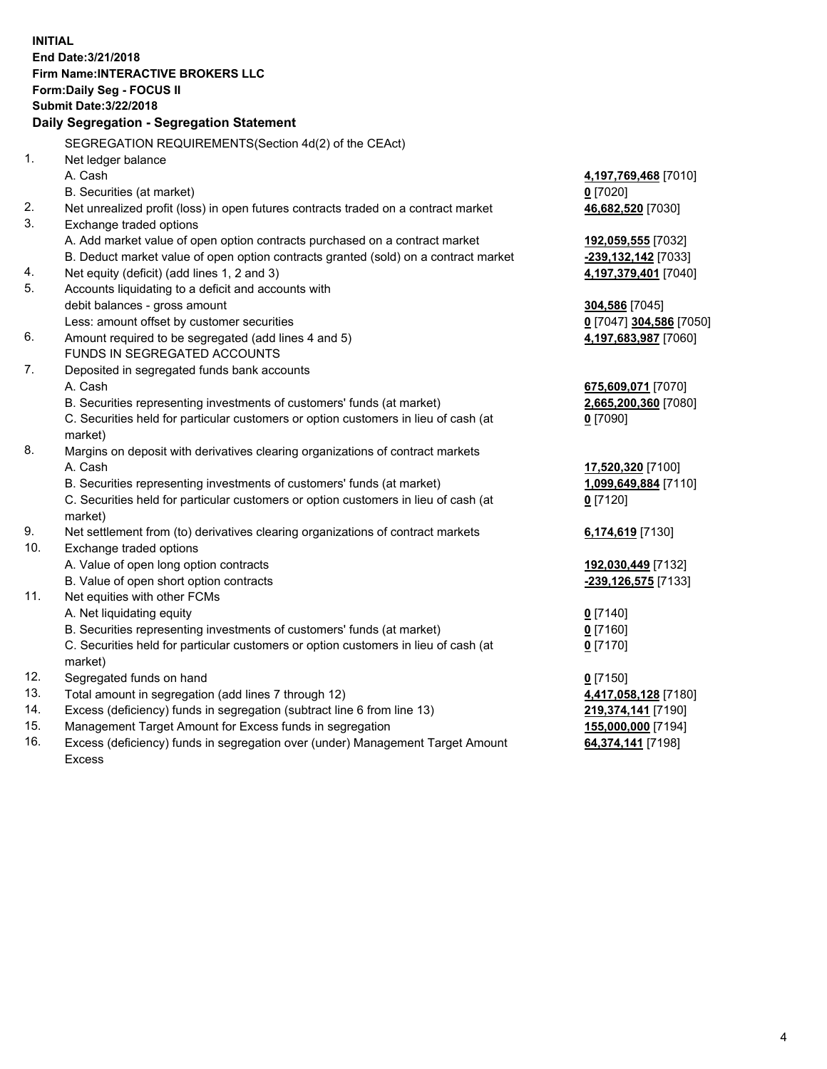**INITIAL End Date:3/21/2018 Firm Name:INTERACTIVE BROKERS LLC Form:Daily Seg - FOCUS II Submit Date:3/22/2018 Daily Segregation - Segregation Statement** SEGREGATION REQUIREMENTS(Section 4d(2) of the CEAct) 1. Net ledger balance A. Cash **4,197,769,468** [7010] B. Securities (at market) **0** [7020] 2. Net unrealized profit (loss) in open futures contracts traded on a contract market **46,682,520** [7030] 3. Exchange traded options A. Add market value of open option contracts purchased on a contract market **192,059,555** [7032] B. Deduct market value of open option contracts granted (sold) on a contract market **-239,132,142** [7033] 4. Net equity (deficit) (add lines 1, 2 and 3) **4,197,379,401** [7040] 5. Accounts liquidating to a deficit and accounts with debit balances - gross amount **304,586** [7045] Less: amount offset by customer securities **0** [7047] **304,586** [7050] 6. Amount required to be segregated (add lines 4 and 5) **4,197,683,987** [7060] FUNDS IN SEGREGATED ACCOUNTS 7. Deposited in segregated funds bank accounts A. Cash **675,609,071** [7070] B. Securities representing investments of customers' funds (at market) **2,665,200,360** [7080] C. Securities held for particular customers or option customers in lieu of cash (at market) **0** [7090] 8. Margins on deposit with derivatives clearing organizations of contract markets A. Cash **17,520,320** [7100] B. Securities representing investments of customers' funds (at market) **1,099,649,884** [7110] C. Securities held for particular customers or option customers in lieu of cash (at market) **0** [7120] 9. Net settlement from (to) derivatives clearing organizations of contract markets **6,174,619** [7130] 10. Exchange traded options A. Value of open long option contracts **192,030,449** [7132] B. Value of open short option contracts **-239,126,575** [7133] 11. Net equities with other FCMs A. Net liquidating equity **0** [7140] B. Securities representing investments of customers' funds (at market) **0** [7160] C. Securities held for particular customers or option customers in lieu of cash (at market) **0** [7170] 12. Segregated funds on hand **0** [7150] 13. Total amount in segregation (add lines 7 through 12) **4,417,058,128** [7180] 14. Excess (deficiency) funds in segregation (subtract line 6 from line 13) **219,374,141** [7190] 15. Management Target Amount for Excess funds in segregation **155,000,000** [7194]

16. Excess (deficiency) funds in segregation over (under) Management Target Amount Excess

**64,374,141** [7198]